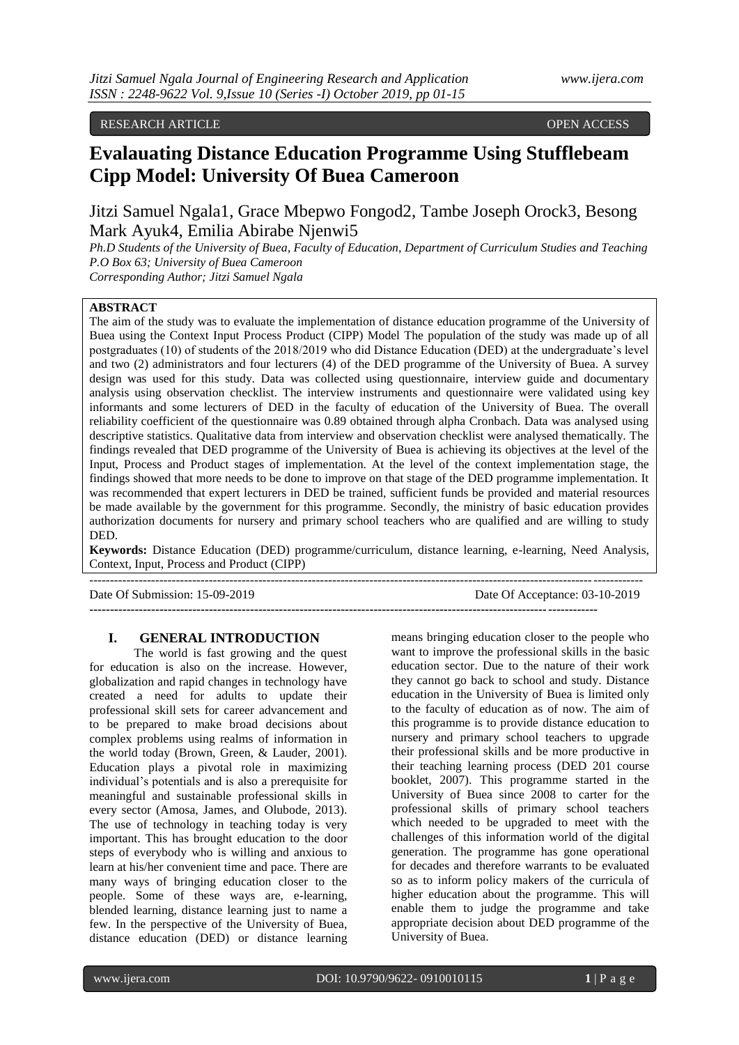RESEARCH ARTICLE **CONTRACT ARTICLE** AND A SECRET ASSESSED OPEN ACCESS OPEN ACCESS

# **Evalauating Distance Education Programme Using Stufflebeam Cipp Model: University Of Buea Cameroon**

Jitzi Samuel Ngala1, Grace Mbepwo Fongod2, Tambe Joseph Orock3, Besong Mark Ayuk4, Emilia Abirabe Njenwi5

*Ph.D Students of the University of Buea, Faculty of Education, Department of Curriculum Studies and Teaching P.O Box 63; University of Buea Cameroon*

*Corresponding Author; Jitzi Samuel Ngala*

# **ABSTRACT**

The aim of the study was to evaluate the implementation of distance education programme of the University of Buea using the Context Input Process Product (CIPP) Model The population of the study was made up of all postgraduates (10) of students of the 2018/2019 who did Distance Education (DED) at the undergraduate's level and two (2) administrators and four lecturers (4) of the DED programme of the University of Buea. A survey design was used for this study. Data was collected using questionnaire, interview guide and documentary analysis using observation checklist. The interview instruments and questionnaire were validated using key informants and some lecturers of DED in the faculty of education of the University of Buea. The overall reliability coefficient of the questionnaire was 0.89 obtained through alpha Cronbach. Data was analysed using descriptive statistics. Qualitative data from interview and observation checklist were analysed thematically. The findings revealed that DED programme of the University of Buea is achieving its objectives at the level of the Input, Process and Product stages of implementation. At the level of the context implementation stage, the findings showed that more needs to be done to improve on that stage of the DED programme implementation. It was recommended that expert lecturers in DED be trained, sufficient funds be provided and material resources be made available by the government for this programme. Secondly, the ministry of basic education provides authorization documents for nursery and primary school teachers who are qualified and are willing to study DED.

**Keywords:** Distance Education (DED) programme/curriculum, distance learning, e-learning, Need Analysis, Context, Input, Process and Product (CIPP) --------------------------------------------------------------------------------------------------------------------------------------

**---------------------------------------------------------------------------------------------------------------------------**

Date Of Submission: 15-09-2019 Date Of Acceptance: 03-10-2019

#### **I. GENERAL INTRODUCTION**

The world is fast growing and the quest for education is also on the increase. However, globalization and rapid changes in technology have created a need for adults to update their professional skill sets for career advancement and to be prepared to make broad decisions about complex problems using realms of information in the world today (Brown, Green, & Lauder, 2001). Education plays a pivotal role in maximizing individual's potentials and is also a prerequisite for meaningful and sustainable professional skills in every sector (Amosa, James, and Olubode, 2013). The use of technology in teaching today is very important. This has brought education to the door steps of everybody who is willing and anxious to learn at his/her convenient time and pace. There are many ways of bringing education closer to the people. Some of these ways are, e-learning, blended learning, distance learning just to name a few. In the perspective of the University of Buea, distance education (DED) or distance learning means bringing education closer to the people who want to improve the professional skills in the basic education sector. Due to the nature of their work they cannot go back to school and study. Distance education in the University of Buea is limited only to the faculty of education as of now. The aim of this programme is to provide distance education to nursery and primary school teachers to upgrade their professional skills and be more productive in their teaching learning process (DED 201 course booklet, 2007). This programme started in the University of Buea since 2008 to carter for the professional skills of primary school teachers which needed to be upgraded to meet with the challenges of this information world of the digital generation. The programme has gone operational for decades and therefore warrants to be evaluated so as to inform policy makers of the curricula of higher education about the programme. This will enable them to judge the programme and take appropriate decision about DED programme of the University of Buea.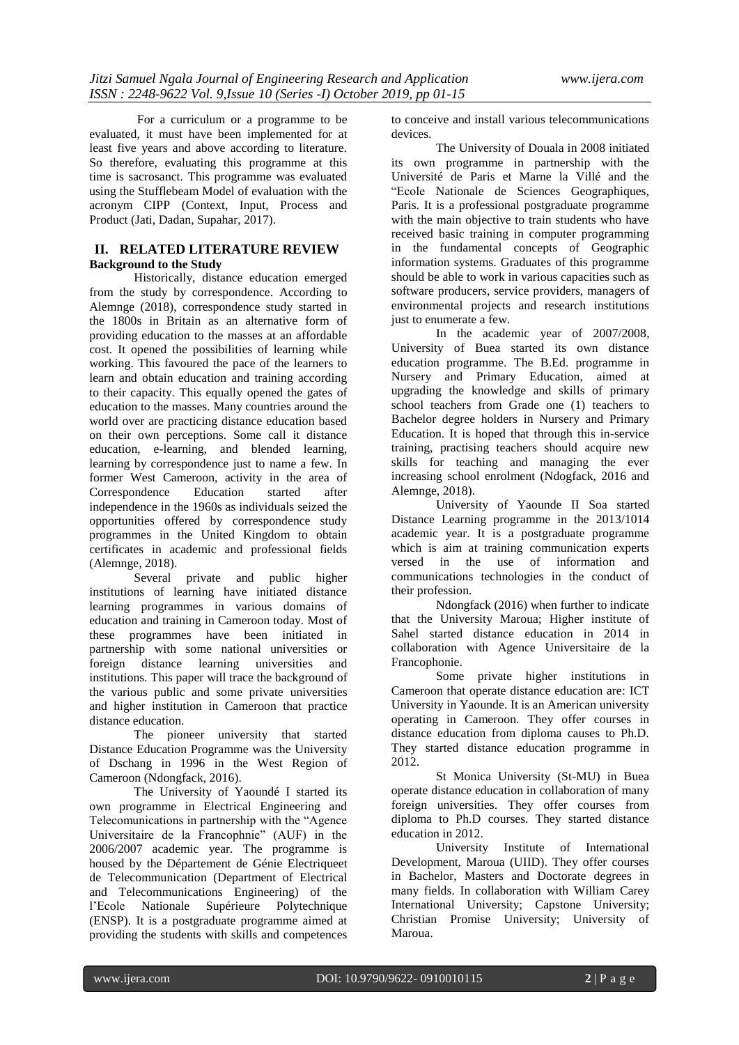For a curriculum or a programme to be evaluated, it must have been implemented for at least five years and above according to literature. So therefore, evaluating this programme at this time is sacrosanct. This programme was evaluated using the Stufflebeam Model of evaluation with the acronym CIPP (Context, Input, Process and Product (Jati, Dadan, Supahar, 2017).

# **II. RELATED LITERATURE REVIEW Background to the Study**

Historically, distance education emerged from the study by correspondence. According to Alemnge (2018), correspondence study started in the 1800s in Britain as an alternative form of providing education to the masses at an affordable cost. It opened the possibilities of learning while working. This favoured the pace of the learners to learn and obtain education and training according to their capacity. This equally opened the gates of education to the masses. Many countries around the world over are practicing distance education based on their own perceptions. Some call it distance education, e-learning, and blended learning, learning by correspondence just to name a few. In former West Cameroon, activity in the area of Correspondence Education started after independence in the 1960s as individuals seized the opportunities offered by correspondence study programmes in the United Kingdom to obtain certificates in academic and professional fields (Alemnge, 2018).

Several private and public higher institutions of learning have initiated distance learning programmes in various domains of education and training in Cameroon today. Most of these programmes have been initiated in partnership with some national universities or foreign distance learning universities and institutions. This paper will trace the background of the various public and some private universities and higher institution in Cameroon that practice distance education.

The pioneer university that started Distance Education Programme was the University of Dschang in 1996 in the West Region of Cameroon (Ndongfack, 2016).

The University of Yaoundé I started its own programme in Electrical Engineering and Telecomunications in partnership with the "Agence Universitaire de la Francophnie" (AUF) in the 2006/2007 academic year. The programme is housed by the Département de Génie Electriqueet de Telecommunication (Department of Electrical and Telecommunications Engineering) of the l'Ecole Nationale Supérieure Polytechnique (ENSP). It is a postgraduate programme aimed at providing the students with skills and competences to conceive and install various telecommunications devices.

The University of Douala in 2008 initiated its own programme in partnership with the Université de Paris et Marne la Villé and the "Ecole Nationale de Sciences Geographiques, Paris. It is a professional postgraduate programme with the main objective to train students who have received basic training in computer programming in the fundamental concepts of Geographic information systems. Graduates of this programme should be able to work in various capacities such as software producers, service providers, managers of environmental projects and research institutions just to enumerate a few.

In the academic year of 2007/2008, University of Buea started its own distance education programme. The B.Ed. programme in Nursery and Primary Education, aimed at upgrading the knowledge and skills of primary school teachers from Grade one (1) teachers to Bachelor degree holders in Nursery and Primary Education. It is hoped that through this in-service training, practising teachers should acquire new skills for teaching and managing the ever increasing school enrolment (Ndogfack, 2016 and Alemnge, 2018).

University of Yaounde II Soa started Distance Learning programme in the 2013/1014 academic year. It is a postgraduate programme which is aim at training communication experts versed in the use of information and communications technologies in the conduct of their profession.

Ndongfack (2016) when further to indicate that the University Maroua; Higher institute of Sahel started distance education in 2014 in collaboration with Agence Universitaire de la Francophonie.

Some private higher institutions in Cameroon that operate distance education are: ICT University in Yaounde. It is an American university operating in Cameroon. They offer courses in distance education from diploma causes to Ph.D. They started distance education programme in 2012.

St Monica University (St-MU) in Buea operate distance education in collaboration of many foreign universities. They offer courses from diploma to Ph.D courses. They started distance education in 2012.

University Institute of International Development, Maroua (UIID). They offer courses in Bachelor, Masters and Doctorate degrees in many fields. In collaboration with William Carey International University; Capstone University; Christian Promise University; University of Maroua.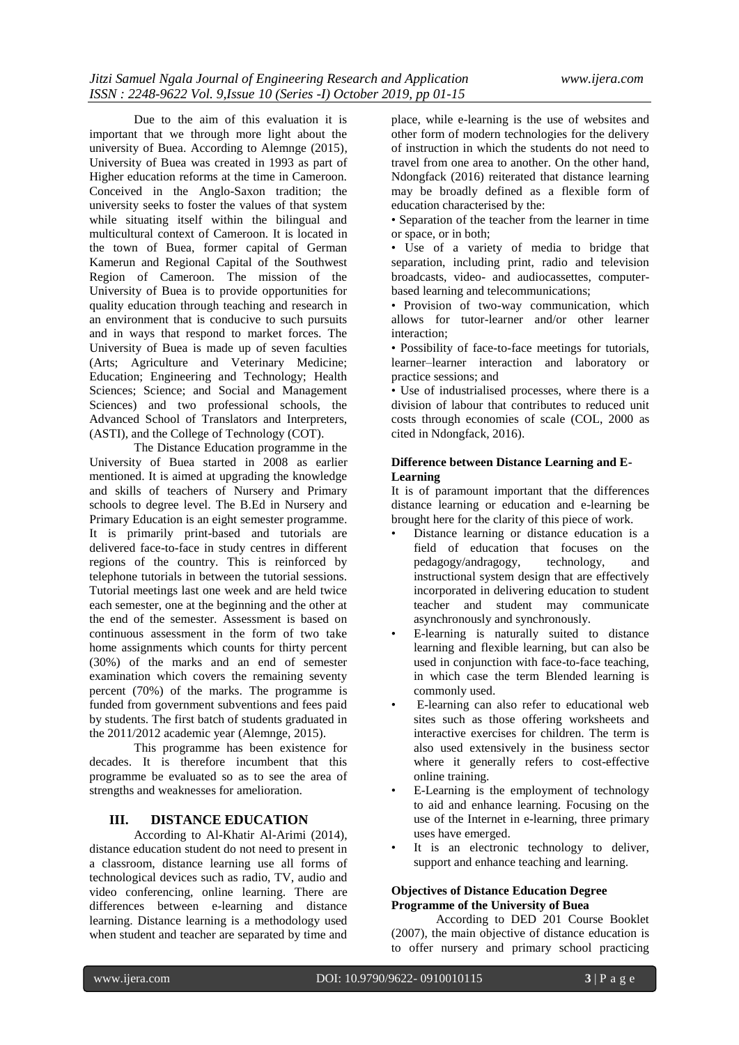Due to the aim of this evaluation it is important that we through more light about the university of Buea. According to Alemnge (2015), University of Buea was created in 1993 as part of Higher education reforms at the time in Cameroon. Conceived in the Anglo-Saxon tradition; the university seeks to foster the values of that system while situating itself within the bilingual and multicultural context of Cameroon. It is located in the town of Buea, former capital of German Kamerun and Regional Capital of the Southwest Region of Cameroon. The mission of the University of Buea is to provide opportunities for quality education through teaching and research in an environment that is conducive to such pursuits and in ways that respond to market forces. The University of Buea is made up of seven faculties (Arts; Agriculture and Veterinary Medicine; Education; Engineering and Technology; Health Sciences: Science: and Social and Management Sciences) and two professional schools, the Advanced School of Translators and Interpreters, (ASTI), and the College of Technology (COT).

The Distance Education programme in the University of Buea started in 2008 as earlier mentioned. It is aimed at upgrading the knowledge and skills of teachers of Nursery and Primary schools to degree level. The B.Ed in Nursery and Primary Education is an eight semester programme. It is primarily print-based and tutorials are delivered face-to-face in study centres in different regions of the country. This is reinforced by telephone tutorials in between the tutorial sessions. Tutorial meetings last one week and are held twice each semester, one at the beginning and the other at the end of the semester. Assessment is based on continuous assessment in the form of two take home assignments which counts for thirty percent (30%) of the marks and an end of semester examination which covers the remaining seventy percent (70%) of the marks. The programme is funded from government subventions and fees paid by students. The first batch of students graduated in the 2011/2012 academic year (Alemnge, 2015).

This programme has been existence for decades. It is therefore incumbent that this programme be evaluated so as to see the area of strengths and weaknesses for amelioration.

#### **III. DISTANCE EDUCATION**

According to Al-Khatir Al-Arimi (2014), distance education student do not need to present in a classroom, distance learning use all forms of technological devices such as radio, TV, audio and video conferencing, online learning. There are differences between e-learning and distance learning. Distance learning is a methodology used when student and teacher are separated by time and

place, while e-learning is the use of websites and other form of modern technologies for the delivery of instruction in which the students do not need to travel from one area to another. On the other hand, Ndongfack (2016) reiterated that distance learning may be broadly defined as a flexible form of education characterised by the:

• Separation of the teacher from the learner in time or space, or in both;

• Use of a variety of media to bridge that separation, including print, radio and television broadcasts, video- and audiocassettes, computerbased learning and telecommunications;

• Provision of two-way communication, which allows for tutor-learner and/or other learner interaction;

• Possibility of face-to-face meetings for tutorials, learner–learner interaction and laboratory or practice sessions; and

• Use of industrialised processes, where there is a division of labour that contributes to reduced unit costs through economies of scale (COL, 2000 as cited in Ndongfack, 2016).

# **Difference between Distance Learning and E-Learning**

It is of paramount important that the differences distance learning or education and e-learning be brought here for the clarity of this piece of work.

- Distance learning or distance education is a field of education that focuses on the pedagogy/andragogy, technology, and instructional system design that are effectively incorporated in delivering education to student teacher and student may communicate asynchronously and synchronously.
- E-learning is naturally suited to distance learning and flexible learning, but can also be used in conjunction with face-to-face teaching. in which case the term Blended learning is commonly used.
- E-learning can also refer to educational web sites such as those offering worksheets and interactive exercises for children. The term is also used extensively in the business sector where it generally refers to cost-effective online training.
- E-Learning is the employment of technology to aid and enhance learning. Focusing on the use of the Internet in e-learning, three primary uses have emerged.
- It is an electronic technology to deliver, support and enhance teaching and learning.

### **Objectives of Distance Education Degree Programme of the University of Buea**

According to DED 201 Course Booklet (2007), the main objective of distance education is to offer nursery and primary school practicing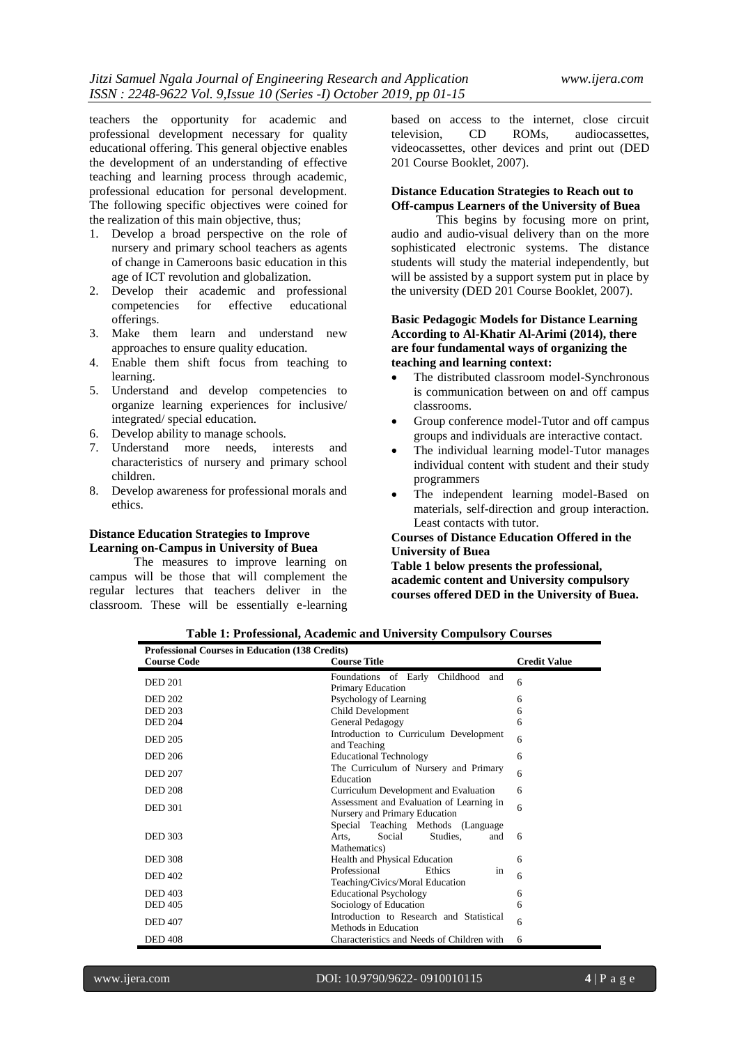teachers the opportunity for academic and professional development necessary for quality educational offering. This general objective enables the development of an understanding of effective teaching and learning process through academic, professional education for personal development. The following specific objectives were coined for the realization of this main objective, thus;

- 1. Develop a broad perspective on the role of nursery and primary school teachers as agents of change in Cameroons basic education in this age of ICT revolution and globalization.
- 2. Develop their academic and professional competencies for effective educational offerings.
- 3. Make them learn and understand new approaches to ensure quality education.
- 4. Enable them shift focus from teaching to learning.
- 5. Understand and develop competencies to organize learning experiences for inclusive/ integrated/ special education.
- 6. Develop ability to manage schools.
- 7. Understand more needs, interests and characteristics of nursery and primary school children.
- 8. Develop awareness for professional morals and ethics.

# **Distance Education Strategies to Improve Learning on-Campus in University of Buea**

The measures to improve learning on campus will be those that will complement the regular lectures that teachers deliver in the classroom. These will be essentially e-learning

based on access to the internet, close circuit television, CD ROMs, audiocassettes, videocassettes, other devices and print out (DED 201 Course Booklet, 2007).

#### **Distance Education Strategies to Reach out to Off-campus Learners of the University of Buea**

This begins by focusing more on print, audio and audio-visual delivery than on the more sophisticated electronic systems. The distance students will study the material independently, but will be assisted by a support system put in place by the university (DED 201 Course Booklet, 2007).

## **Basic Pedagogic Models for Distance Learning According to Al-Khatir Al-Arimi (2014), there are four fundamental ways of organizing the teaching and learning context:**

- The distributed classroom model-Synchronous is communication between on and off campus classrooms.
- Group conference model-Tutor and off campus groups and individuals are interactive contact.
- The individual learning model-Tutor manages individual content with student and their study programmers
- The independent learning model-Based on materials, self-direction and group interaction. Least contacts with tutor.

# **Courses of Distance Education Offered in the University of Buea**

**Table 1 below presents the professional, academic content and University compulsory courses offered DED in the University of Buea.**

| <b>Professional Courses in Education (138 Credits)</b> |                                                                                          |                     |
|--------------------------------------------------------|------------------------------------------------------------------------------------------|---------------------|
| <b>Course Code</b>                                     | <b>Course Title</b>                                                                      | <b>Credit Value</b> |
| <b>DED 201</b>                                         | Foundations of Early Childhood<br>and<br>Primary Education                               | 6                   |
| <b>DED 202</b>                                         | Psychology of Learning                                                                   | 6                   |
| <b>DED 203</b>                                         | Child Development                                                                        | 6                   |
| <b>DED 204</b>                                         | General Pedagogy                                                                         | 6                   |
| <b>DED 205</b>                                         | Introduction to Curriculum Development<br>and Teaching                                   | 6                   |
| <b>DED 206</b>                                         | <b>Educational Technology</b>                                                            | 6                   |
| <b>DED 207</b>                                         | The Curriculum of Nursery and Primary<br>Education                                       | 6                   |
| <b>DED 208</b>                                         | Curriculum Development and Evaluation                                                    | 6                   |
| <b>DED 301</b>                                         | Assessment and Evaluation of Learning in<br>Nursery and Primary Education                | 6                   |
| <b>DED 303</b>                                         | Special Teaching Methods (Language<br>Social<br>Studies.<br>Arts.<br>and<br>Mathematics) | 6                   |
| <b>DED 308</b>                                         | Health and Physical Education                                                            | 6                   |
| <b>DED 402</b>                                         | Professional<br>Ethics<br>in<br>Teaching/Civics/Moral Education                          | 6                   |
| <b>DED 403</b>                                         | <b>Educational Psychology</b>                                                            | 6                   |
| <b>DED 405</b>                                         | Sociology of Education                                                                   | 6                   |
| <b>DED 407</b>                                         | Introduction to Research and Statistical<br>Methods in Education                         | 6                   |
| <b>DED 408</b>                                         | Characteristics and Needs of Children with                                               | 6                   |

**Table 1: Professional, Academic and University Compulsory Courses**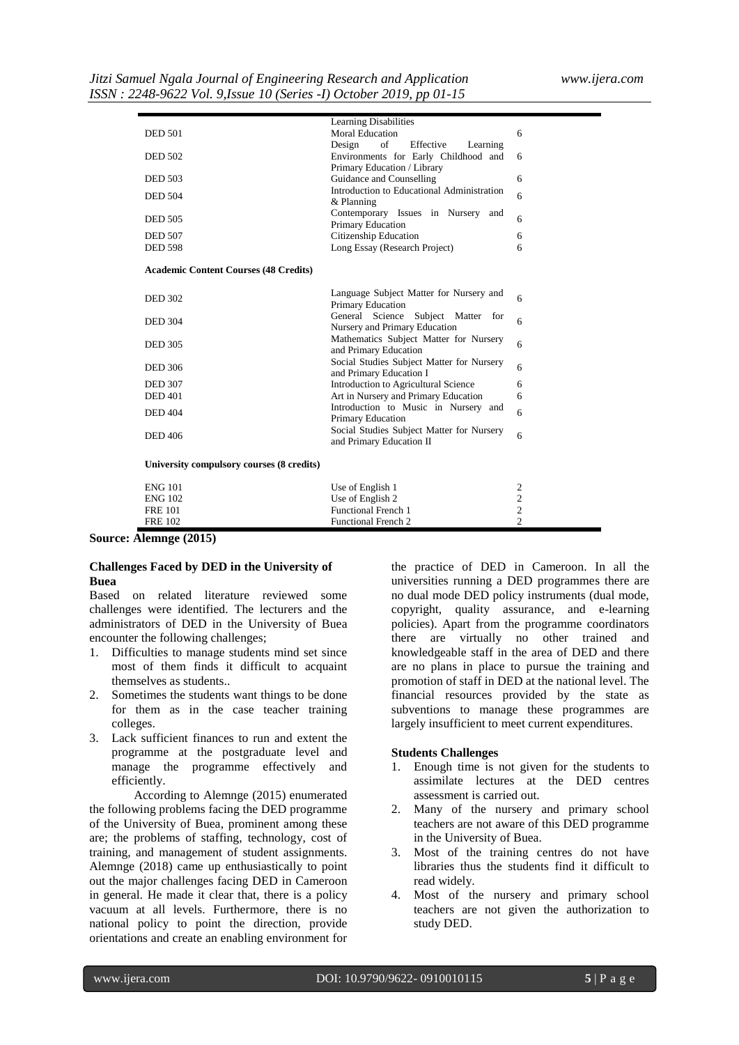|                                              | <b>Learning Disabilities</b>                                                 |                |
|----------------------------------------------|------------------------------------------------------------------------------|----------------|
| <b>DED 501</b>                               | <b>Moral Education</b>                                                       | 6              |
|                                              | Effective<br>of<br>Learning<br>Design                                        |                |
| <b>DED 502</b>                               | Environments for Early Childhood and                                         | 6              |
|                                              | Primary Education / Library                                                  |                |
| <b>DED 503</b>                               | Guidance and Counselling                                                     | 6              |
|                                              | Introduction to Educational Administration                                   |                |
| <b>DED 504</b>                               | & Planning                                                                   | 6              |
| <b>DED 505</b>                               | Contemporary Issues in Nursery and                                           | 6              |
|                                              | Primary Education                                                            |                |
| <b>DED 507</b>                               | Citizenship Education                                                        | 6              |
| <b>DED 598</b>                               | Long Essay (Research Project)                                                | 6              |
|                                              |                                                                              |                |
| <b>Academic Content Courses (48 Credits)</b> |                                                                              |                |
|                                              |                                                                              |                |
| <b>DED 302</b>                               | Language Subject Matter for Nursery and                                      | 6              |
|                                              | Primary Education                                                            |                |
| <b>DED 304</b>                               | General Science<br>Subject Matter for                                        | 6              |
|                                              | Nursery and Primary Education                                                |                |
| <b>DED 305</b>                               | Mathematics Subject Matter for Nursery                                       | 6              |
|                                              | and Primary Education                                                        |                |
| <b>DED 306</b>                               | Social Studies Subject Matter for Nursery                                    | 6              |
| <b>DED 307</b>                               | and Primary Education I                                                      |                |
| <b>DED</b> 401                               | Introduction to Agricultural Science<br>Art in Nursery and Primary Education | 6<br>6         |
|                                              | Introduction to Music in Nursery and                                         |                |
| <b>DED 404</b>                               | Primary Education                                                            | 6              |
|                                              | Social Studies Subject Matter for Nursery                                    |                |
| <b>DED 406</b>                               | and Primary Education II                                                     | 6              |
|                                              |                                                                              |                |
| University compulsory courses (8 credits)    |                                                                              |                |
|                                              |                                                                              |                |
| <b>ENG 101</b>                               | Use of English 1                                                             | $\mathfrak{2}$ |
| <b>ENG 102</b>                               | Use of English 2                                                             | $\mathfrak{2}$ |
| <b>FRE 101</b>                               | <b>Functional French 1</b>                                                   | $\sqrt{2}$     |
| <b>FRE 102</b>                               | <b>Functional French 2</b>                                                   | $\overline{c}$ |

**Source: Alemnge (2015)**

### **Challenges Faced by DED in the University of Buea**

Based on related literature reviewed some challenges were identified. The lecturers and the administrators of DED in the University of Buea encounter the following challenges;

- 1. Difficulties to manage students mind set since most of them finds it difficult to acquaint themselves as students..
- 2. Sometimes the students want things to be done for them as in the case teacher training colleges.
- 3. Lack sufficient finances to run and extent the programme at the postgraduate level and manage the programme effectively and efficiently.

According to Alemnge (2015) enumerated the following problems facing the DED programme of the University of Buea, prominent among these are; the problems of staffing, technology, cost of training, and management of student assignments. Alemnge (2018) came up enthusiastically to point out the major challenges facing DED in Cameroon in general. He made it clear that, there is a policy vacuum at all levels. Furthermore, there is no national policy to point the direction, provide orientations and create an enabling environment for

the practice of DED in Cameroon. In all the universities running a DED programmes there are no dual mode DED policy instruments (dual mode, copyright, quality assurance, and e-learning policies). Apart from the programme coordinators there are virtually no other trained and knowledgeable staff in the area of DED and there are no plans in place to pursue the training and promotion of staff in DED at the national level. The financial resources provided by the state as subventions to manage these programmes are largely insufficient to meet current expenditures.

#### **Students Challenges**

- 1. Enough time is not given for the students to assimilate lectures at the DED centres assessment is carried out.
- 2. Many of the nursery and primary school teachers are not aware of this DED programme in the University of Buea.
- 3. Most of the training centres do not have libraries thus the students find it difficult to read widely.
- 4. Most of the nursery and primary school teachers are not given the authorization to study DED.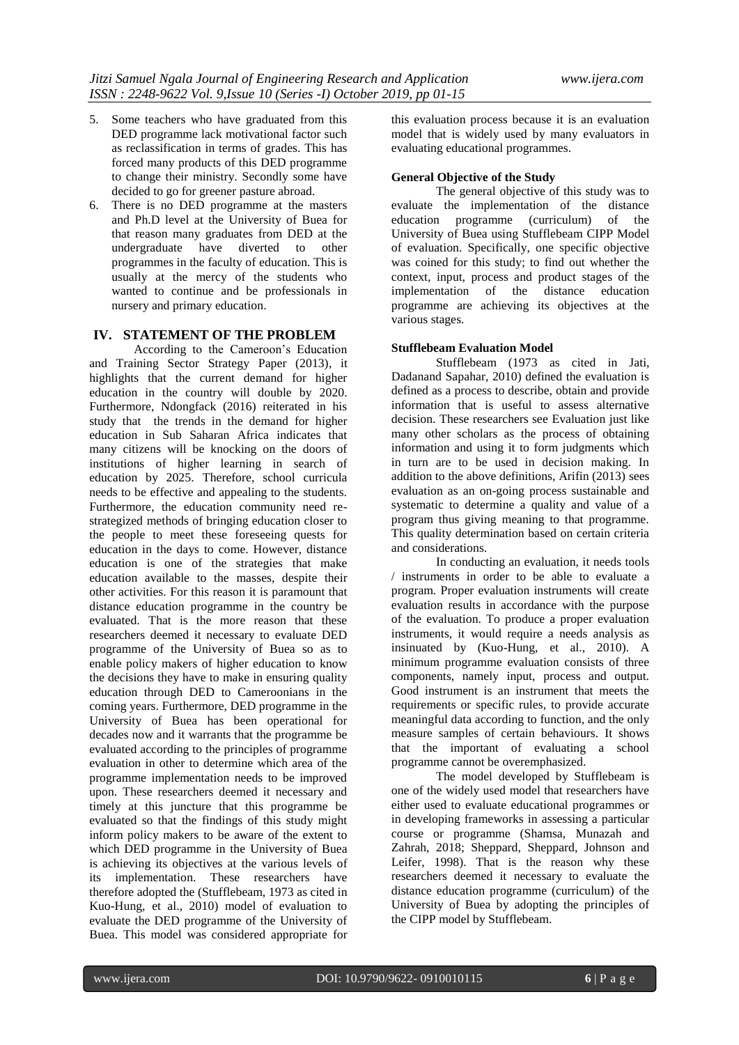- 5. Some teachers who have graduated from this DED programme lack motivational factor such as reclassification in terms of grades. This has forced many products of this DED programme to change their ministry. Secondly some have decided to go for greener pasture abroad.
- 6. There is no DED programme at the masters and Ph.D level at the University of Buea for that reason many graduates from DED at the undergraduate have diverted to other programmes in the faculty of education. This is usually at the mercy of the students who wanted to continue and be professionals in nursery and primary education.

# **IV. STATEMENT OF THE PROBLEM**

According to the Cameroon's Education and Training Sector Strategy Paper (2013), it highlights that the current demand for higher education in the country will double by 2020. Furthermore, Ndongfack (2016) reiterated in his study that the trends in the demand for higher education in Sub Saharan Africa indicates that many citizens will be knocking on the doors of institutions of higher learning in search of education by 2025. Therefore, school curricula needs to be effective and appealing to the students. Furthermore, the education community need restrategized methods of bringing education closer to the people to meet these foreseeing quests for education in the days to come. However, distance education is one of the strategies that make education available to the masses, despite their other activities. For this reason it is paramount that distance education programme in the country be evaluated. That is the more reason that these researchers deemed it necessary to evaluate DED programme of the University of Buea so as to enable policy makers of higher education to know the decisions they have to make in ensuring quality education through DED to Cameroonians in the coming years. Furthermore, DED programme in the University of Buea has been operational for decades now and it warrants that the programme be evaluated according to the principles of programme evaluation in other to determine which area of the programme implementation needs to be improved upon. These researchers deemed it necessary and timely at this juncture that this programme be evaluated so that the findings of this study might inform policy makers to be aware of the extent to which DED programme in the University of Buea is achieving its objectives at the various levels of its implementation. These researchers have therefore adopted the (Stufflebeam, 1973 as cited in Kuo-Hung, et al., 2010) model of evaluation to evaluate the DED programme of the University of Buea. This model was considered appropriate for this evaluation process because it is an evaluation model that is widely used by many evaluators in evaluating educational programmes.

#### **General Objective of the Study**

The general objective of this study was to evaluate the implementation of the distance education programme (curriculum) of the University of Buea using Stufflebeam CIPP Model of evaluation. Specifically, one specific objective was coined for this study; to find out whether the context, input, process and product stages of the implementation of the distance education programme are achieving its objectives at the various stages.

### **Stufflebeam Evaluation Model**

Stufflebeam (1973 as cited in Jati, Dadanand Sapahar, 2010) defined the evaluation is defined as a process to describe, obtain and provide information that is useful to assess alternative decision. These researchers see Evaluation just like many other scholars as the process of obtaining information and using it to form judgments which in turn are to be used in decision making. In addition to the above definitions, Arifin (2013) sees evaluation as an on-going process sustainable and systematic to determine a quality and value of a program thus giving meaning to that programme. This quality determination based on certain criteria and considerations.

In conducting an evaluation, it needs tools / instruments in order to be able to evaluate a program. Proper evaluation instruments will create evaluation results in accordance with the purpose of the evaluation. To produce a proper evaluation instruments, it would require a needs analysis as insinuated by (Kuo-Hung, et al., 2010). A minimum programme evaluation consists of three components, namely input, process and output. Good instrument is an instrument that meets the requirements or specific rules, to provide accurate meaningful data according to function, and the only measure samples of certain behaviours. It shows that the important of evaluating a school programme cannot be overemphasized.

The model developed by Stufflebeam is one of the widely used model that researchers have either used to evaluate educational programmes or in developing frameworks in assessing a particular course or programme (Shamsa, Munazah and Zahrah, 2018; Sheppard, Sheppard, Johnson and Leifer, 1998). That is the reason why these researchers deemed it necessary to evaluate the distance education programme (curriculum) of the University of Buea by adopting the principles of the CIPP model by Stufflebeam.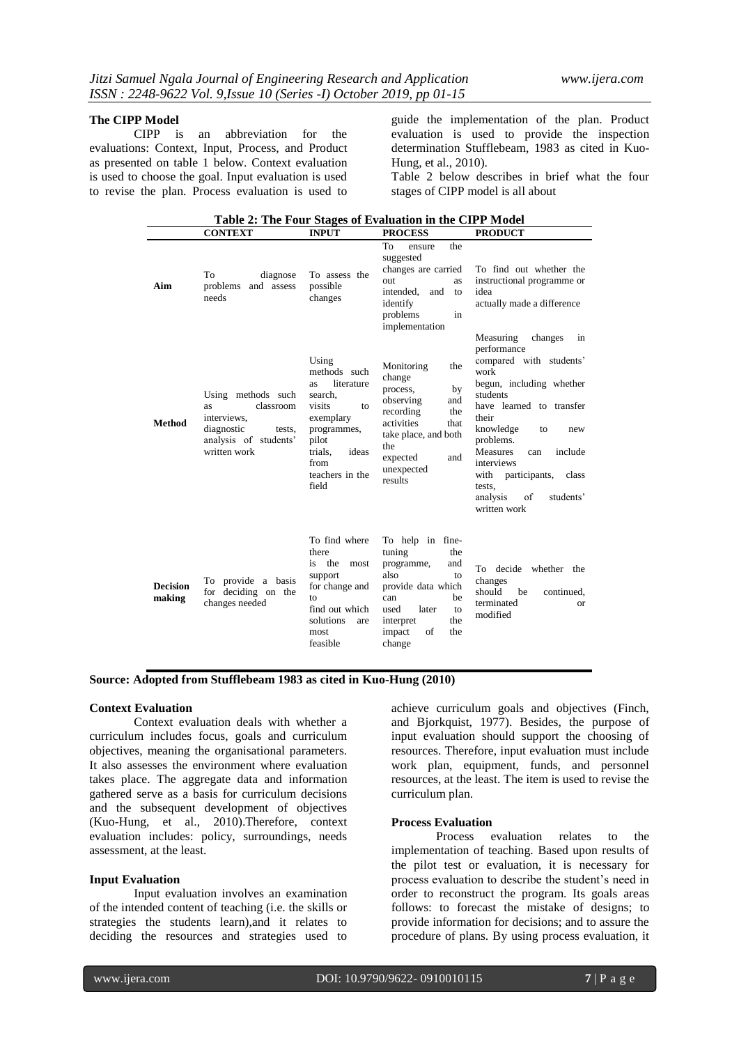**The CIPP Model**<br>CIPP is an abbreviation for the evaluations: Context, Input, Process, and Product as presented on table 1 below. Context evaluation is used to choose the goal. Input evaluation is used to revise the plan. Process evaluation is used to

guide the implementation of the plan. Product evaluation is used to provide the inspection determination Stufflebeam, 1983 as cited in Kuo-Hung, et al., 2010).

Table 2 below describes in brief what the four stages of CIPP model is all about

|                           |                                                                                                                       |                                                                                                                                                                    | Table 2: The Four Stages of Evaluation in the CIPP Model                                                                                                                               |                                                                                                                                                                                                                                                                                                                                                |
|---------------------------|-----------------------------------------------------------------------------------------------------------------------|--------------------------------------------------------------------------------------------------------------------------------------------------------------------|----------------------------------------------------------------------------------------------------------------------------------------------------------------------------------------|------------------------------------------------------------------------------------------------------------------------------------------------------------------------------------------------------------------------------------------------------------------------------------------------------------------------------------------------|
|                           | <b>CONTEXT</b>                                                                                                        | <b>INPUT</b>                                                                                                                                                       | <b>PROCESS</b>                                                                                                                                                                         | <b>PRODUCT</b>                                                                                                                                                                                                                                                                                                                                 |
| Aim                       | To<br>diagnose<br>problems<br>and assess<br>needs                                                                     | To assess the<br>possible<br>changes                                                                                                                               | To<br>the<br>ensure<br>suggested<br>changes are carried<br>out<br>as<br>intended.<br>and<br>to<br>identify<br>problems<br>in<br>implementation                                         | To find out whether the<br>instructional programme or<br>idea<br>actually made a difference                                                                                                                                                                                                                                                    |
| <b>Method</b>             | Using methods such<br>classroom<br>as<br>interviews.<br>diagnostic<br>tests,<br>analysis of students'<br>written work | Using<br>methods such<br>literature<br>as.<br>search.<br>visits<br>to<br>exemplary<br>programmes,<br>pilot<br>ideas<br>trials.<br>from<br>teachers in the<br>field | Monitoring<br>the<br>change<br>process,<br>by<br>observing<br>and<br>recording<br>the<br>activities<br>that<br>take place, and both<br>the<br>and<br>expected<br>unexpected<br>results | Measuring<br>changes<br>in<br>performance<br>compared with students'<br>work<br>begun, including whether<br>students<br>have learned to transfer<br>their<br>knowledge<br>to<br>new<br>problems.<br><b>Measures</b><br>include<br>can<br>interviews<br>participants,<br>with<br>class<br>tests.<br>analysis<br>of<br>students'<br>written work |
| <b>Decision</b><br>making | To provide a basis<br>for deciding on the<br>changes needed                                                           | To find where<br>there<br>is the<br>most<br>support<br>for change and<br>to<br>find out which<br>solutions<br>are<br>most<br>feasible                              | To help in fine-<br>tuning<br>the<br>programme,<br>and<br>also<br>to<br>provide data which<br>be<br>can<br>later<br>used<br>to<br>the<br>interpret<br>of<br>the<br>impact<br>change    | decide<br>whether the<br>To<br>changes<br>should<br>be<br>continued,<br>terminated<br>or<br>modified                                                                                                                                                                                                                                           |

**Source: Adopted from Stufflebeam 1983 as cited in Kuo-Hung (2010)**

### **Context Evaluation**

Context evaluation deals with whether a curriculum includes focus, goals and curriculum objectives, meaning the organisational parameters. It also assesses the environment where evaluation takes place. The aggregate data and information gathered serve as a basis for curriculum decisions and the subsequent development of objectives (Kuo-Hung, et al., 2010).Therefore, context evaluation includes: policy, surroundings, needs assessment, at the least.

#### **Input Evaluation**

Input evaluation involves an examination of the intended content of teaching (i.e. the skills or strategies the students learn),and it relates to deciding the resources and strategies used to

achieve curriculum goals and objectives (Finch, and Bjorkquist, 1977). Besides, the purpose of input evaluation should support the choosing of resources. Therefore, input evaluation must include work plan, equipment, funds, and personnel resources, at the least. The item is used to revise the curriculum plan.

#### **Process Evaluation**

Process evaluation relates to the implementation of teaching. Based upon results of the pilot test or evaluation, it is necessary for process evaluation to describe the student's need in order to reconstruct the program. Its goals areas follows: to forecast the mistake of designs; to provide information for decisions; and to assure the procedure of plans. By using process evaluation, it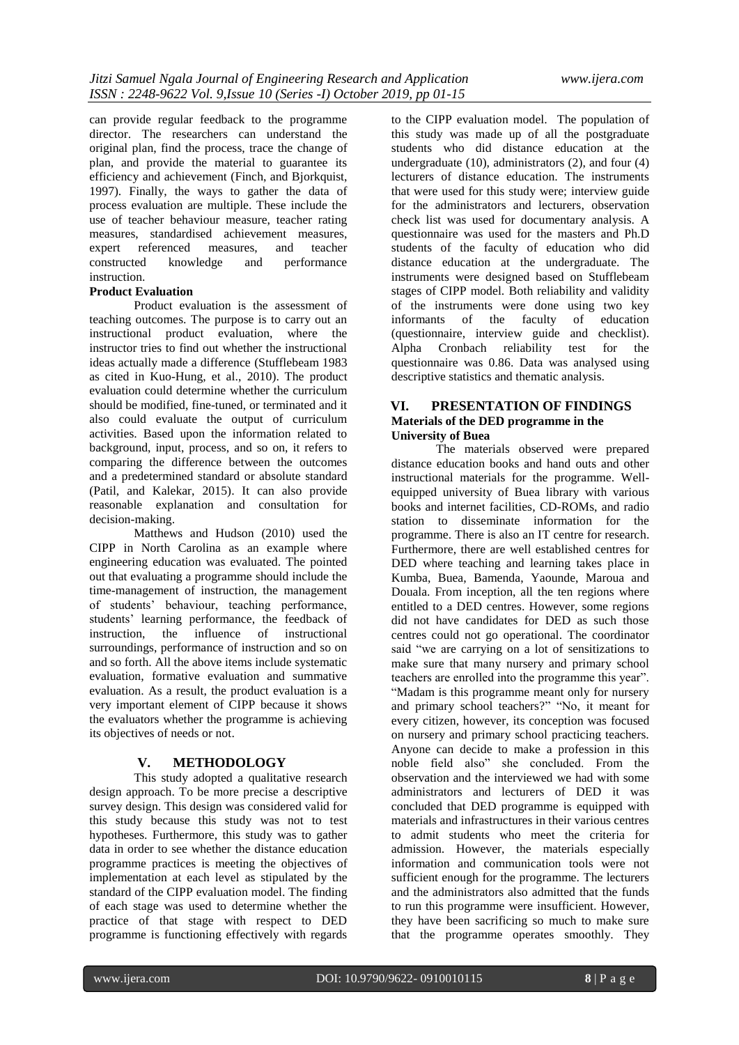can provide regular feedback to the programme director. The researchers can understand the original plan, find the process, trace the change of plan, and provide the material to guarantee its efficiency and achievement (Finch, and Bjorkquist, 1997). Finally, the ways to gather the data of process evaluation are multiple. These include the use of teacher behaviour measure, teacher rating measures, standardised achievement measures, expert referenced measures, and teacher constructed knowledge and performance instruction.

# **Product Evaluation**

Product evaluation is the assessment of teaching outcomes. The purpose is to carry out an instructional product evaluation, where the instructor tries to find out whether the instructional ideas actually made a difference (Stufflebeam 1983 as cited in Kuo-Hung, et al., 2010). The product evaluation could determine whether the curriculum should be modified, fine-tuned, or terminated and it also could evaluate the output of curriculum activities. Based upon the information related to background, input, process, and so on, it refers to comparing the difference between the outcomes and a predetermined standard or absolute standard (Patil, and Kalekar, 2015). It can also provide reasonable explanation and consultation for decision-making.

Matthews and Hudson (2010) used the CIPP in North Carolina as an example where engineering education was evaluated. The pointed out that evaluating a programme should include the time-management of instruction, the management of students' behaviour, teaching performance, students' learning performance, the feedback of instruction, the influence of instructional surroundings, performance of instruction and so on and so forth. All the above items include systematic evaluation, formative evaluation and summative evaluation. As a result, the product evaluation is a very important element of CIPP because it shows the evaluators whether the programme is achieving its objectives of needs or not.

# **V. METHODOLOGY**

This study adopted a qualitative research design approach. To be more precise a descriptive survey design. This design was considered valid for this study because this study was not to test hypotheses. Furthermore, this study was to gather data in order to see whether the distance education programme practices is meeting the objectives of implementation at each level as stipulated by the standard of the CIPP evaluation model. The finding of each stage was used to determine whether the practice of that stage with respect to DED programme is functioning effectively with regards

to the CIPP evaluation model. The population of this study was made up of all the postgraduate students who did distance education at the undergraduate (10), administrators (2), and four (4) lecturers of distance education. The instruments that were used for this study were; interview guide for the administrators and lecturers, observation check list was used for documentary analysis. A questionnaire was used for the masters and Ph.D students of the faculty of education who did distance education at the undergraduate. The instruments were designed based on Stufflebeam stages of CIPP model. Both reliability and validity of the instruments were done using two key informants of the faculty of education (questionnaire, interview guide and checklist). Alpha Cronbach reliability test for the questionnaire was 0.86. Data was analysed using descriptive statistics and thematic analysis.

### **VI. PRESENTATION OF FINDINGS Materials of the DED programme in the University of Buea**

The materials observed were prepared distance education books and hand outs and other instructional materials for the programme. Wellequipped university of Buea library with various books and internet facilities, CD-ROMs, and radio station to disseminate information for the programme. There is also an IT centre for research. Furthermore, there are well established centres for DED where teaching and learning takes place in Kumba, Buea, Bamenda, Yaounde, Maroua and Douala. From inception, all the ten regions where entitled to a DED centres. However, some regions did not have candidates for DED as such those centres could not go operational. The coordinator said "we are carrying on a lot of sensitizations to make sure that many nursery and primary school teachers are enrolled into the programme this year". "Madam is this programme meant only for nursery and primary school teachers?" "No, it meant for every citizen, however, its conception was focused on nursery and primary school practicing teachers. Anyone can decide to make a profession in this noble field also" she concluded. From the observation and the interviewed we had with some administrators and lecturers of DED it was concluded that DED programme is equipped with materials and infrastructures in their various centres to admit students who meet the criteria for admission. However, the materials especially information and communication tools were not sufficient enough for the programme. The lecturers and the administrators also admitted that the funds to run this programme were insufficient. However, they have been sacrificing so much to make sure that the programme operates smoothly. They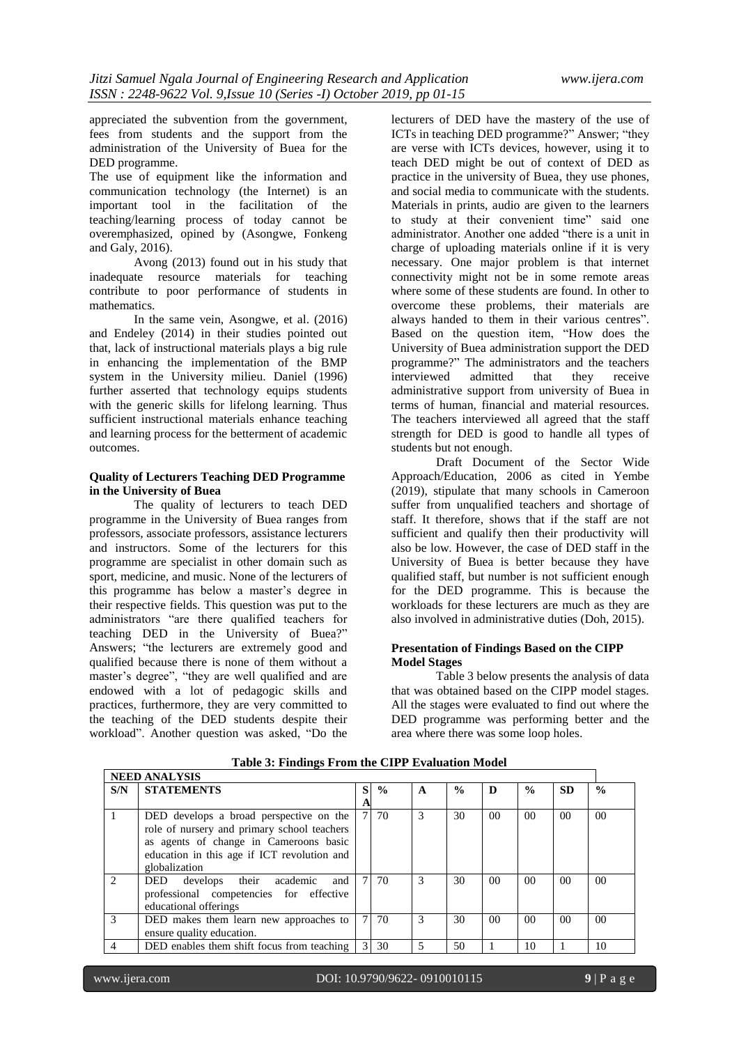appreciated the subvention from the government, fees from students and the support from the administration of the University of Buea for the DED programme.

The use of equipment like the information and communication technology (the Internet) is an important tool in the facilitation of the teaching/learning process of today cannot be overemphasized, opined by (Asongwe, Fonkeng and Galy, 2016).

Avong (2013) found out in his study that inadequate resource materials for teaching contribute to poor performance of students in mathematics.

In the same vein, Asongwe, et al. (2016) and Endeley (2014) in their studies pointed out that, lack of instructional materials plays a big rule in enhancing the implementation of the BMP system in the University milieu. Daniel (1996) further asserted that technology equips students with the generic skills for lifelong learning. Thus sufficient instructional materials enhance teaching and learning process for the betterment of academic outcomes.

# **Quality of Lecturers Teaching DED Programme in the University of Buea**

The quality of lecturers to teach DED programme in the University of Buea ranges from professors, associate professors, assistance lecturers and instructors. Some of the lecturers for this programme are specialist in other domain such as sport, medicine, and music. None of the lecturers of this programme has below a master's degree in their respective fields. This question was put to the administrators "are there qualified teachers for teaching DED in the University of Buea?" Answers; "the lecturers are extremely good and qualified because there is none of them without a master's degree", "they are well qualified and are endowed with a lot of pedagogic skills and practices, furthermore, they are very committed to the teaching of the DED students despite their workload". Another question was asked, "Do the

lecturers of DED have the mastery of the use of ICTs in teaching DED programme?" Answer; "they are verse with ICTs devices, however, using it to teach DED might be out of context of DED as practice in the university of Buea, they use phones, and social media to communicate with the students. Materials in prints, audio are given to the learners to study at their convenient time" said one administrator. Another one added "there is a unit in charge of uploading materials online if it is very necessary. One major problem is that internet connectivity might not be in some remote areas where some of these students are found. In other to overcome these problems, their materials are always handed to them in their various centres". Based on the question item, "How does the University of Buea administration support the DED programme?" The administrators and the teachers interviewed admitted that they receive administrative support from university of Buea in terms of human, financial and material resources. The teachers interviewed all agreed that the staff strength for DED is good to handle all types of students but not enough.

Draft Document of the Sector Wide Approach/Education, 2006 as cited in Yembe (2019), stipulate that many schools in Cameroon suffer from unqualified teachers and shortage of staff. It therefore, shows that if the staff are not sufficient and qualify then their productivity will also be low. However, the case of DED staff in the University of Buea is better because they have qualified staff, but number is not sufficient enough for the DED programme. This is because the workloads for these lecturers are much as they are also involved in administrative duties (Doh, 2015).

# **Presentation of Findings Based on the CIPP Model Stages**

Table 3 below presents the analysis of data that was obtained based on the CIPP model stages. All the stages were evaluated to find out where the DED programme was performing better and the area where there was some loop holes.

|               | <b>NEED ANALYSIS</b>                                                                                                                                                                             |   |               |   |               |                |                 |                |                 |
|---------------|--------------------------------------------------------------------------------------------------------------------------------------------------------------------------------------------------|---|---------------|---|---------------|----------------|-----------------|----------------|-----------------|
| S/N           | <b>STATEMENTS</b>                                                                                                                                                                                | S | $\frac{0}{0}$ | A | $\frac{0}{0}$ | D              | $\frac{0}{0}$   | <b>SD</b>      | $\frac{0}{0}$   |
|               |                                                                                                                                                                                                  | A |               |   |               |                |                 |                |                 |
|               | DED develops a broad perspective on the<br>role of nursery and primary school teachers<br>as agents of change in Cameroons basic<br>education in this age if ICT revolution and<br>globalization |   | 7 70          | 3 | 30            | 0 <sup>0</sup> | 00 <sup>1</sup> | 0 <sup>0</sup> | 00 <sup>1</sup> |
| $\mathcal{D}$ | DED develops their academic<br>and<br>professional competencies for effective<br>educational offerings                                                                                           |   | 7 70          | 3 | 30            | 0 <sup>0</sup> | 00 <sup>1</sup> | 0 <sup>0</sup> | 00 <sup>1</sup> |
| 3             | DED makes them learn new approaches to<br>ensure quality education.                                                                                                                              |   | $7 \mid 70$   | 3 | 30            | 0 <sup>0</sup> | 00 <sup>1</sup> | 0 <sup>0</sup> | 00 <sup>1</sup> |
| 4             | DED enables them shift focus from teaching                                                                                                                                                       |   | 3 30          | 5 | 50            |                | 10              |                | 10              |

**Table 3: Findings From the CIPP Evaluation Model**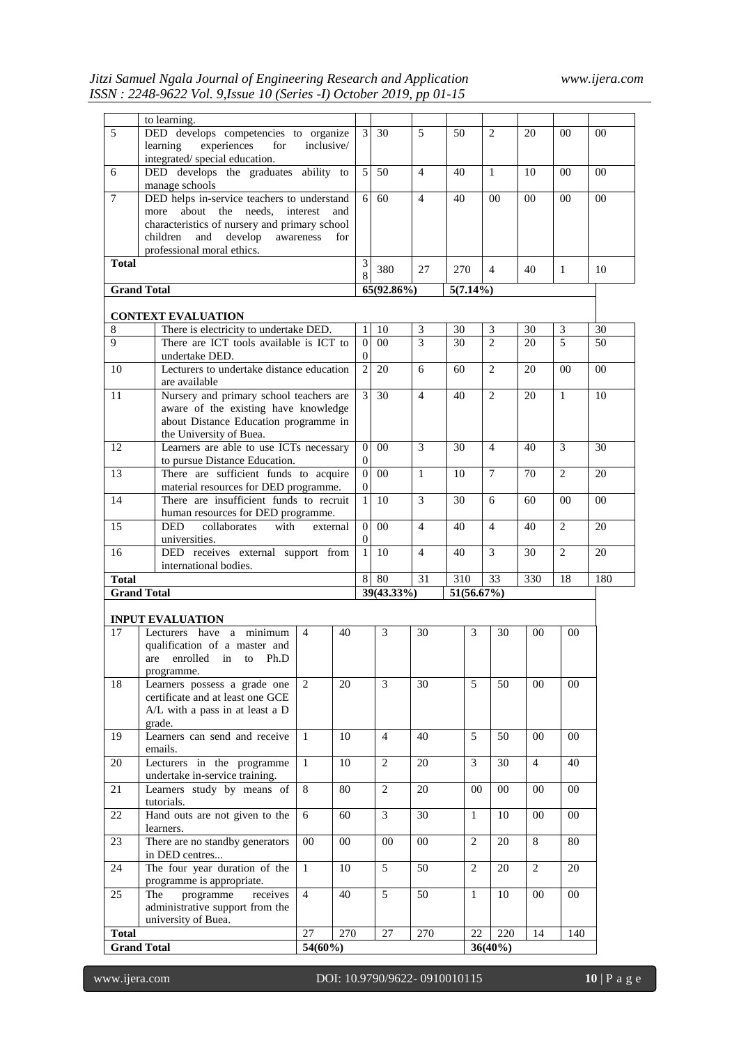|                    | to learning.                                                                  |                |            |                  |                |                |             |                |                |                |                |                |  |
|--------------------|-------------------------------------------------------------------------------|----------------|------------|------------------|----------------|----------------|-------------|----------------|----------------|----------------|----------------|----------------|--|
| 5                  | DED develops competencies to organize                                         |                |            | $\overline{3}$   | 30             | 5              | 50          |                | $\overline{2}$ | 20             | 00             | $00\,$         |  |
|                    | experiences<br>learning<br>for<br>integrated/special education.               | inclusive/     |            |                  |                |                |             |                |                |                |                |                |  |
| 6                  | DED develops the graduates ability to                                         |                |            | 5 <sup>1</sup>   | 50             | $\overline{4}$ | 40          |                | $\mathbf{1}$   | 10             | 00             | $00\,$         |  |
|                    | manage schools                                                                |                |            |                  |                |                |             |                |                |                |                |                |  |
| 7                  | DED helps in-service teachers to understand                                   |                |            | 6 <sup>1</sup>   | 60             | $\overline{4}$ | 40          |                | $00\,$         | $00\,$         | 00             | $00\,$         |  |
|                    | about<br>the needs.<br>more                                                   | interest       | and        |                  |                |                |             |                |                |                |                |                |  |
|                    | characteristics of nursery and primary school                                 |                |            |                  |                |                |             |                |                |                |                |                |  |
|                    | and<br>develop<br>children                                                    | awareness      | for        |                  |                |                |             |                |                |                |                |                |  |
|                    | professional moral ethics.                                                    |                |            |                  |                |                |             |                |                |                |                |                |  |
| <b>Total</b>       |                                                                               |                |            | 3                | 380            | 27             | 270         |                | 4              | 40             | $\mathbf{1}$   | 10             |  |
|                    |                                                                               |                |            | 8                |                |                |             |                |                |                |                |                |  |
|                    | <b>Grand Total</b>                                                            |                |            |                  | 65(92.86%)     |                | $5(7.14\%)$ |                |                |                |                |                |  |
|                    | <b>CONTEXT EVALUATION</b>                                                     |                |            |                  |                |                |             |                |                |                |                |                |  |
| 8                  | There is electricity to undertake DED.                                        |                |            | 1                | 10             | 3              | 30          |                | 3              | 30             | 3              | 30             |  |
| $\mathbf Q$        | There are ICT tools available is ICT to                                       |                |            | $\Omega$         | 00             | $\overline{3}$ | 30          |                | $\mathfrak{D}$ | 20             | $\overline{5}$ | 50             |  |
|                    | undertake DED.                                                                |                |            | $\boldsymbol{0}$ |                |                |             |                |                |                |                |                |  |
| 10                 | Lecturers to undertake distance education                                     |                |            | 2                | 20             | 6              | 60          |                | $\overline{2}$ | 20             | 00             | $00\,$         |  |
|                    | are available                                                                 |                |            |                  |                |                |             |                |                |                |                |                |  |
| 11                 | Nursery and primary school teachers are                                       |                |            | $\overline{3}$   | 30             | $\overline{4}$ | 40          |                | $\overline{2}$ | 20             | $\mathbf{1}$   | 10             |  |
|                    | aware of the existing have knowledge                                          |                |            |                  |                |                |             |                |                |                |                |                |  |
|                    | about Distance Education programme in                                         |                |            |                  |                |                |             |                |                |                |                |                |  |
|                    | the University of Buea.                                                       |                |            |                  |                |                |             |                |                |                |                |                |  |
| 12                 | Learners are able to use ICTs necessary                                       |                |            | $\Omega$         | 00             | 3              | 30          |                | $\overline{4}$ | 40             | 3              | 30             |  |
|                    | to pursue Distance Education.                                                 |                |            | $\overline{0}$   |                |                |             |                |                |                |                |                |  |
| 13                 | There are sufficient funds to acquire                                         |                |            | $\theta$         | 00             | $\mathbf{1}$   | 10          |                | 7              | 70             | 2              | 20             |  |
|                    | material resources for DED programme.                                         |                |            | $\overline{0}$   |                | 3              |             |                |                |                |                |                |  |
| 14                 | There are insufficient funds to recruit<br>human resources for DED programme. |                |            | $\mathbf{1}$     | 10             |                | 30          |                | 6              | 60             | 0 <sub>0</sub> | 0 <sub>0</sub> |  |
| 15                 | <b>DED</b><br>collaborates<br>with                                            | external       |            | $\Omega$         | 00             | $\overline{4}$ | 40          |                | $\overline{4}$ | 40             | $\mathbf{2}$   | 20             |  |
|                    | universities.                                                                 |                |            | $\theta$         |                |                |             |                |                |                |                |                |  |
| 16                 | DED receives external support from                                            |                |            | $\mathbf{1}$     | 10             | $\overline{4}$ | 40          |                | 3              | 30             | $\overline{2}$ | 20             |  |
|                    | international bodies.                                                         |                |            |                  |                |                |             |                |                |                |                |                |  |
| <b>Total</b>       |                                                                               |                |            |                  |                | 31             | 310         |                | 33             | 330            | 18             | 180            |  |
|                    | <b>Grand Total</b>                                                            |                |            | 39(43.33%)       |                |                |             | 51(56.67%)     |                |                |                |                |  |
|                    |                                                                               |                |            |                  |                |                |             |                |                |                |                |                |  |
|                    | <b>INPUT EVALUATION</b>                                                       |                |            |                  |                |                |             |                |                |                |                |                |  |
| 17                 | Lecturers have a minimum                                                      | $\overline{4}$ | 40         |                  | 3              | 30             |             | 3              | 30             | 0 <sub>0</sub> | 0 <sub>0</sub> |                |  |
|                    | qualification of a master and                                                 |                |            |                  |                |                |             |                |                |                |                |                |  |
|                    | enrolled<br>in<br>Ph.D<br>are<br>to                                           |                |            |                  |                |                |             |                |                |                |                |                |  |
| 18                 | programme.<br>Learners possess a grade one                                    | 2              | 20         |                  | 3              | 30             |             | 5              | 50             | 00             | $00\,$         |                |  |
|                    | certificate and at least one GCE                                              |                |            |                  |                |                |             |                |                |                |                |                |  |
|                    | A/L with a pass in at least a D                                               |                |            |                  |                |                |             |                |                |                |                |                |  |
|                    | grade.                                                                        |                |            |                  |                |                |             |                |                |                |                |                |  |
| 19                 | Learners can send and receive                                                 | $\mathbf{1}$   | 10         |                  | $\overline{4}$ | 40             |             | 5              | 50             | 00             | 0 <sub>0</sub> |                |  |
|                    | emails.                                                                       |                |            |                  |                |                |             |                |                |                |                |                |  |
| 20                 | Lecturers in the programme                                                    | $\mathbf{1}$   | 10         |                  | $\overline{c}$ | 20             |             | 3              | 30             | $\overline{4}$ | 40             |                |  |
|                    | undertake in-service training.                                                |                |            |                  |                |                |             |                |                |                |                |                |  |
| 21                 | Learners study by means of                                                    | 8              | 80         |                  | $\overline{2}$ | 20             |             | $00\,$         | $00\,$         | 00             | $00\,$         |                |  |
|                    | tutorials.                                                                    |                |            |                  |                |                |             |                |                |                |                |                |  |
| 22                 | Hand outs are not given to the                                                | 6              | 60         |                  | 3              | 30             |             | $\mathbf{1}$   | 10             | 00             | $00\,$         |                |  |
|                    | learners.                                                                     |                |            |                  |                |                |             |                |                |                |                |                |  |
| 23                 | There are no standby generators                                               | $00\,$         | 00         |                  | 00             | $00\,$         |             | $\overline{2}$ | 20             | 8              | 80             |                |  |
|                    | in DED centres                                                                |                |            |                  | $\overline{5}$ |                |             |                |                |                |                |                |  |
| 24                 | The four year duration of the<br>programme is appropriate.                    | $\mathbf{1}$   | 10         |                  |                | 50             |             | 2              | 20             | 2              | 20             |                |  |
| 25                 | The<br>programme<br>receives                                                  | $\overline{4}$ | 40         |                  | 5              | 50             |             | $\mathbf{1}$   | 10             | $00\,$         | $00\,$         |                |  |
|                    | administrative support from the                                               |                |            |                  |                |                |             |                |                |                |                |                |  |
|                    | university of Buea.                                                           |                |            |                  |                |                |             |                |                |                |                |                |  |
| <b>Total</b>       |                                                                               | 27             | 270        |                  | 27             | 270            |             | 22             | 220            | 14             | 140            |                |  |
| <b>Grand Total</b> |                                                                               |                | $54(60\%)$ |                  |                |                |             |                | $36(40\%)$     |                |                |                |  |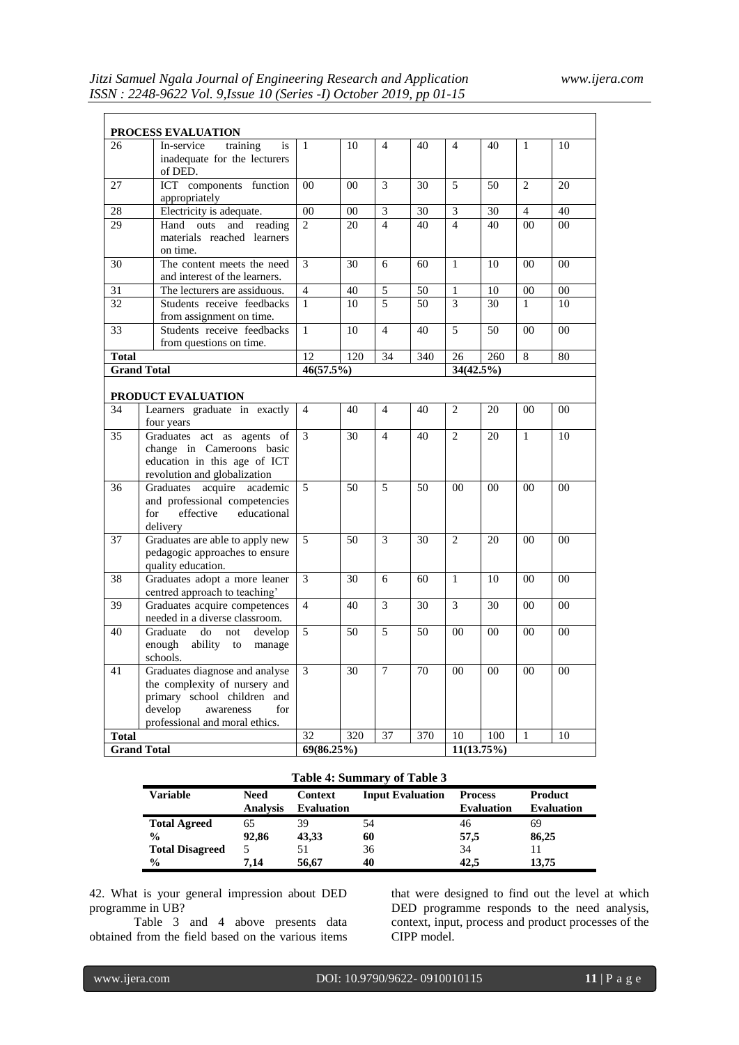|              | <b>PROCESS EVALUATION</b>                                                                                                                                       |                |            |                |     |                |                |                |                |  |  |
|--------------|-----------------------------------------------------------------------------------------------------------------------------------------------------------------|----------------|------------|----------------|-----|----------------|----------------|----------------|----------------|--|--|
| 26           | In-service<br>training<br>is<br>inadequate for the lecturers<br>of DED.                                                                                         | $\mathbf{1}$   | 10         | $\overline{4}$ | 40  | $\overline{4}$ | 40             | 1              | 10             |  |  |
| 27           | ICT components function<br>appropriately                                                                                                                        | 00             | 00         | 3              | 30  | 5              | 50             | $\overline{2}$ | 20             |  |  |
| 28           | Electricity is adequate.                                                                                                                                        | 00             | 00         | $\overline{3}$ | 30  | 3              | 30             | $\overline{4}$ | 40             |  |  |
| 29           | outs<br>Hand<br>and<br>reading<br>materials reached learners<br>on time.                                                                                        | $\overline{2}$ | 20         | $\overline{4}$ | 40  | $\overline{4}$ | 40             | 00             | 0 <sub>0</sub> |  |  |
| 30           | The content meets the need<br>and interest of the learners.                                                                                                     | 3              | 30         | 6              | 60  | $\mathbf{1}$   | 10             | 0 <sub>0</sub> | 00             |  |  |
| 31           | The lecturers are assiduous.                                                                                                                                    | $\overline{4}$ | 40         | 5              | 50  | $\mathbf{1}$   | 10             | 00             | 00             |  |  |
| 32           | Students receive feedbacks<br>from assignment on time.                                                                                                          | $\mathbf{1}$   | 10         | 5              | 50  | 3              | 30             | $\mathbf{1}$   | 10             |  |  |
| 33           | Students receive feedbacks<br>from questions on time.                                                                                                           | $\mathbf{1}$   | 10         | $\overline{4}$ | 40  | 5              | 50             | $00\,$         | 00             |  |  |
| <b>Total</b> |                                                                                                                                                                 | 12             | 120        | 34             | 340 | 26             | 260            | 8              | 80             |  |  |
|              | <b>Grand Total</b>                                                                                                                                              | 46(57.5%)      |            |                |     | 34(42.5%)      |                |                |                |  |  |
|              | <b>PRODUCT EVALUATION</b>                                                                                                                                       |                |            |                |     |                |                |                |                |  |  |
| 34           | Learners graduate in exactly                                                                                                                                    | $\overline{4}$ | 40         | $\overline{4}$ | 40  | 2              | 20             | 00             | 00             |  |  |
|              | four years                                                                                                                                                      |                |            |                |     |                |                |                |                |  |  |
| 35           | Graduates act as agents of<br>change in Cameroons basic<br>education in this age of ICT<br>revolution and globalization                                         |                | 30         | $\overline{4}$ | 40  | $\overline{2}$ | 20             | $\mathbf{1}$   | 10             |  |  |
| 36           | Graduates acquire academic<br>and professional competencies<br>for<br>effective<br>educational<br>delivery                                                      |                | 50         | 5              | 50  | 0 <sub>0</sub> | 0 <sub>0</sub> | 0 <sub>0</sub> | 00             |  |  |
| 37           | Graduates are able to apply new<br>pedagogic approaches to ensure<br>quality education.                                                                         | 5              | 50         | 3              | 30  | $\overline{2}$ | 20             | 0 <sub>0</sub> | 0 <sub>0</sub> |  |  |
| 38           | Graduates adopt a more leaner<br>centred approach to teaching'                                                                                                  | 3              | 30         | 6              | 60  | $\mathbf{1}$   | 10             | 0 <sub>0</sub> | 0 <sub>0</sub> |  |  |
| 39           | Graduates acquire competences<br>needed in a diverse classroom.                                                                                                 | $\overline{4}$ | 40         | 3              | 30  | 3              | 30             | 0 <sub>0</sub> | 0 <sub>0</sub> |  |  |
| 40           | Graduate<br>do<br>not<br>develop<br>enough<br>ability<br>to<br>manage<br>schools.                                                                               | 5<br>3         | 50         | 5              | 50  | 00             | 00             | 00             | 00             |  |  |
| 41           | Graduates diagnose and analyse<br>the complexity of nursery and<br>primary school children and<br>develop<br>awareness<br>for<br>professional and moral ethics. |                | 30         | $\overline{7}$ | 70  | 0 <sub>0</sub> | 00             | 00             | 00             |  |  |
| Total        |                                                                                                                                                                 | 32             | 320        | 37             | 370 | 10             | 100            | $\mathbf{1}$   | 10             |  |  |
|              | <b>Grand Total</b>                                                                                                                                              |                | 69(86.25%) |                |     |                |                |                | 11(13.75%)     |  |  |

# **Table 4: Summary of Table 3**

| Variable               | <b>Need</b>     | <b>Context</b>    | <b>Input Evaluation</b> | <b>Process</b>    | Product           |
|------------------------|-----------------|-------------------|-------------------------|-------------------|-------------------|
|                        | <b>Analysis</b> | <b>Evaluation</b> |                         | <b>Evaluation</b> | <b>Evaluation</b> |
| <b>Total Agreed</b>    | 65              | 39                | 54                      | 46                | 69                |
| $\frac{0}{0}$          | 92.86           | 43,33             | 60                      | 57,5              | 86,25             |
| <b>Total Disagreed</b> |                 |                   | 36                      | 34                |                   |
| $\frac{0}{0}$          | 7.14            | 56.67             | 40                      | 42.5              | 13.75             |

42. What is your general impression about DED programme in UB?

Table 3 and 4 above presents data obtained from the field based on the various items that were designed to find out the level at which DED programme responds to the need analysis, context, input, process and product processes of the CIPP model.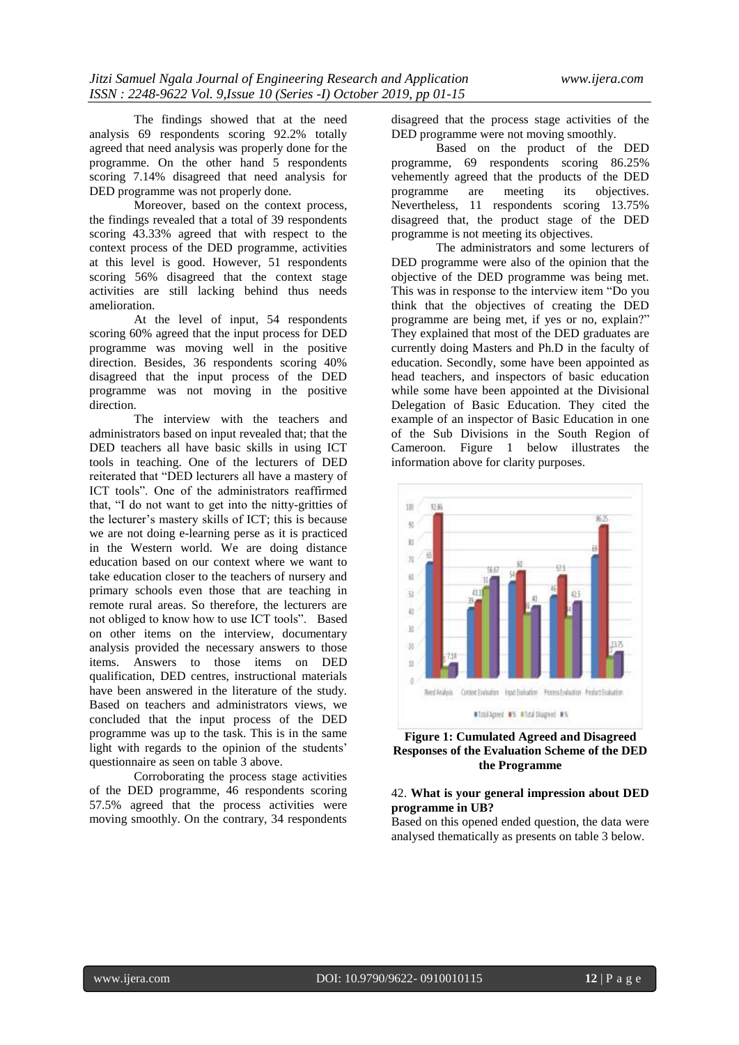The findings showed that at the need analysis 69 respondents scoring 92.2% totally agreed that need analysis was properly done for the programme. On the other hand 5 respondents scoring 7.14% disagreed that need analysis for DED programme was not properly done.

Moreover, based on the context process, the findings revealed that a total of 39 respondents scoring 43.33% agreed that with respect to the context process of the DED programme, activities at this level is good. However, 51 respondents scoring 56% disagreed that the context stage activities are still lacking behind thus needs amelioration.

At the level of input, 54 respondents scoring 60% agreed that the input process for DED programme was moving well in the positive direction. Besides, 36 respondents scoring 40% disagreed that the input process of the DED programme was not moving in the positive direction.

The interview with the teachers and administrators based on input revealed that; that the DED teachers all have basic skills in using ICT tools in teaching. One of the lecturers of DED reiterated that "DED lecturers all have a mastery of ICT tools". One of the administrators reaffirmed that, "I do not want to get into the nitty-gritties of the lecturer's mastery skills of ICT; this is because we are not doing e-learning perse as it is practiced in the Western world. We are doing distance education based on our context where we want to take education closer to the teachers of nursery and primary schools even those that are teaching in remote rural areas. So therefore, the lecturers are not obliged to know how to use ICT tools". Based on other items on the interview, documentary analysis provided the necessary answers to those items. Answers to those items on DED qualification, DED centres, instructional materials have been answered in the literature of the study. Based on teachers and administrators views, we concluded that the input process of the DED programme was up to the task. This is in the same light with regards to the opinion of the students' questionnaire as seen on table 3 above.

Corroborating the process stage activities of the DED programme, 46 respondents scoring 57.5% agreed that the process activities were moving smoothly. On the contrary, 34 respondents disagreed that the process stage activities of the DED programme were not moving smoothly.

Based on the product of the DED programme, 69 respondents scoring 86.25% vehemently agreed that the products of the DED programme are meeting its objectives. Nevertheless, 11 respondents scoring 13.75% disagreed that, the product stage of the DED programme is not meeting its objectives.

The administrators and some lecturers of DED programme were also of the opinion that the objective of the DED programme was being met. This was in response to the interview item "Do you think that the objectives of creating the DED programme are being met, if yes or no, explain?" They explained that most of the DED graduates are currently doing Masters and Ph.D in the faculty of education. Secondly, some have been appointed as head teachers, and inspectors of basic education while some have been appointed at the Divisional Delegation of Basic Education. They cited the example of an inspector of Basic Education in one of the Sub Divisions in the South Region of Cameroon. Figure 1 below illustrates the information above for clarity purposes.



# **Figure 1: Cumulated Agreed and Disagreed Responses of the Evaluation Scheme of the DED the Programme**

### 42. **What is your general impression about DED programme in UB?**

Based on this opened ended question, the data were analysed thematically as presents on table 3 below.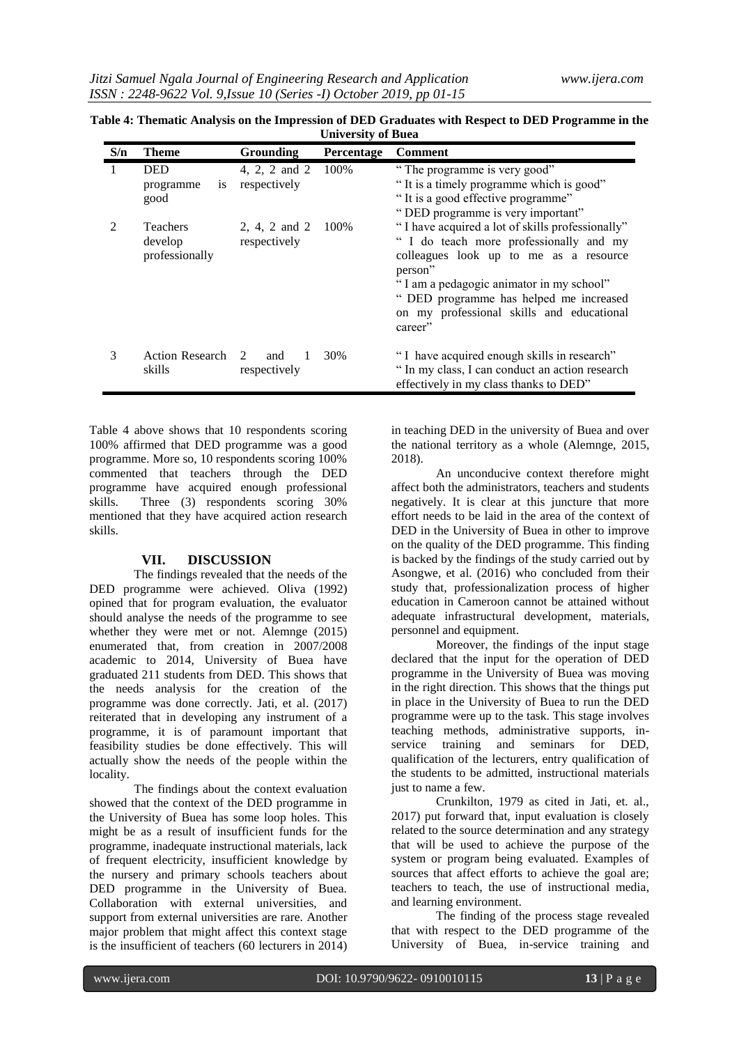| S/n            | <b>Theme</b>                                 | <b>Grounding</b>                          | Percentage | Comment                                                                                                                                                                                                                                                                                         |
|----------------|----------------------------------------------|-------------------------------------------|------------|-------------------------------------------------------------------------------------------------------------------------------------------------------------------------------------------------------------------------------------------------------------------------------------------------|
|                | <b>DED</b><br>1S<br>programme<br>good        | 4, 2, 2 and 2<br>respectively             | 100%       | "The programme is very good"<br>"It is a timely programme which is good"<br>"It is a good effective programme"<br>"DED programme is very important"                                                                                                                                             |
| $\mathfrak{D}$ | <b>Teachers</b><br>develop<br>professionally | 2, 4, 2 and 2<br>respectively             | 100%       | "I have acquired a lot of skills professionally"<br>" I do teach more professionally and my<br>colleagues look up to me as a resource<br>person"<br>"I am a pedagogic animator in my school"<br>" DED programme has helped me increased<br>on my professional skills and educational<br>career" |
| 3              | <b>Action Research</b><br>skills             | $\mathcal{L}$<br>1<br>and<br>respectively | 30%        | "I have acquired enough skills in research"<br>" In my class, I can conduct an action research<br>effectively in my class thanks to DED"                                                                                                                                                        |

| Table 4: Thematic Analysis on the Impression of DED Graduates with Respect to DED Programme in the |
|----------------------------------------------------------------------------------------------------|
| <b>University of Buea</b>                                                                          |

Table 4 above shows that 10 respondents scoring 100% affirmed that DED programme was a good programme. More so, 10 respondents scoring 100% commented that teachers through the DED programme have acquired enough professional skills. Three (3) respondents scoring 30% mentioned that they have acquired action research skills.

#### **VII. DISCUSSION**

The findings revealed that the needs of the DED programme were achieved. Oliva (1992) opined that for program evaluation, the evaluator should analyse the needs of the programme to see whether they were met or not. Alemnge (2015) enumerated that, from creation in 2007/2008 academic to 2014, University of Buea have graduated 211 students from DED. This shows that the needs analysis for the creation of the programme was done correctly. Jati, et al. (2017) reiterated that in developing any instrument of a programme, it is of paramount important that feasibility studies be done effectively. This will actually show the needs of the people within the locality.

The findings about the context evaluation showed that the context of the DED programme in the University of Buea has some loop holes. This might be as a result of insufficient funds for the programme, inadequate instructional materials, lack of frequent electricity, insufficient knowledge by the nursery and primary schools teachers about DED programme in the University of Buea. Collaboration with external universities, and support from external universities are rare. Another major problem that might affect this context stage is the insufficient of teachers (60 lecturers in 2014) in teaching DED in the university of Buea and over the national territory as a whole (Alemnge, 2015, 2018).

An unconducive context therefore might affect both the administrators, teachers and students negatively. It is clear at this juncture that more effort needs to be laid in the area of the context of DED in the University of Buea in other to improve on the quality of the DED programme. This finding is backed by the findings of the study carried out by Asongwe, et al. (2016) who concluded from their study that, professionalization process of higher education in Cameroon cannot be attained without adequate infrastructural development, materials, personnel and equipment.

Moreover, the findings of the input stage declared that the input for the operation of DED programme in the University of Buea was moving in the right direction. This shows that the things put in place in the University of Buea to run the DED programme were up to the task. This stage involves teaching methods, administrative supports, inservice training and seminars for DED, qualification of the lecturers, entry qualification of the students to be admitted, instructional materials just to name a few.

Crunkilton, 1979 as cited in Jati, et. al., 2017) put forward that, input evaluation is closely related to the source determination and any strategy that will be used to achieve the purpose of the system or program being evaluated. Examples of sources that affect efforts to achieve the goal are; teachers to teach, the use of instructional media, and learning environment.

The finding of the process stage revealed that with respect to the DED programme of the University of Buea, in-service training and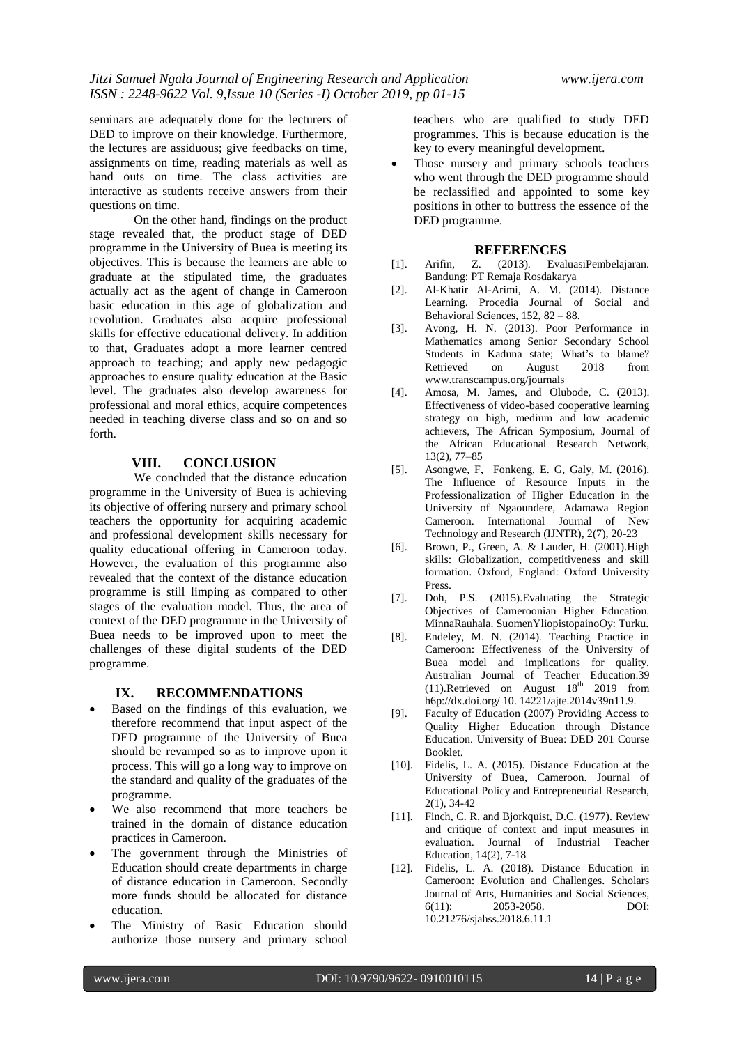seminars are adequately done for the lecturers of DED to improve on their knowledge. Furthermore, the lectures are assiduous; give feedbacks on time, assignments on time, reading materials as well as hand outs on time. The class activities are interactive as students receive answers from their questions on time.

On the other hand, findings on the product stage revealed that, the product stage of DED programme in the University of Buea is meeting its objectives. This is because the learners are able to graduate at the stipulated time, the graduates actually act as the agent of change in Cameroon basic education in this age of globalization and revolution. Graduates also acquire professional skills for effective educational delivery. In addition to that, Graduates adopt a more learner centred approach to teaching; and apply new pedagogic approaches to ensure quality education at the Basic level. The graduates also develop awareness for professional and moral ethics, acquire competences needed in teaching diverse class and so on and so forth.

#### **VIII. CONCLUSION**

We concluded that the distance education programme in the University of Buea is achieving its objective of offering nursery and primary school teachers the opportunity for acquiring academic and professional development skills necessary for quality educational offering in Cameroon today. However, the evaluation of this programme also revealed that the context of the distance education programme is still limping as compared to other stages of the evaluation model. Thus, the area of context of the DED programme in the University of Buea needs to be improved upon to meet the challenges of these digital students of the DED programme.

#### **IX. RECOMMENDATIONS**

- Based on the findings of this evaluation, we therefore recommend that input aspect of the DED programme of the University of Buea should be revamped so as to improve upon it process. This will go a long way to improve on the standard and quality of the graduates of the programme.
- We also recommend that more teachers be trained in the domain of distance education practices in Cameroon.
- The government through the Ministries of Education should create departments in charge of distance education in Cameroon. Secondly more funds should be allocated for distance education.
- The Ministry of Basic Education should authorize those nursery and primary school

teachers who are qualified to study DED programmes. This is because education is the key to every meaningful development.

 Those nursery and primary schools teachers who went through the DED programme should be reclassified and appointed to some key positions in other to buttress the essence of the DED programme.

#### **REFERENCES**

- [1]. Arifin, Z. (2013). EvaluasiPembelajaran. Bandung: PT Remaja Rosdakarya
- [2]. Al-Khatir Al-Arimi, A. M. (2014). Distance Learning. Procedia Journal of Social and Behavioral Sciences, 152, 82 – 88.
- [3]. Avong, H. N. (2013). Poor Performance in Mathematics among Senior Secondary School Students in Kaduna state; What's to blame? Retrieved on August 2018 from www.transcampus.org/journals
- [4]. Amosa, M. James, and Olubode, C. (2013). Effectiveness of video-based cooperative learning strategy on high, medium and low academic achievers, The African Symposium, Journal of the African Educational Research Network, 13(2), 77–85
- [5]. Asongwe, F, Fonkeng, E. G, Galy, M. (2016). The Influence of Resource Inputs in the Professionalization of Higher Education in the University of Ngaoundere, Adamawa Region Cameroon. International Journal of New Technology and Research (IJNTR), 2(7), 20-23
- [6]. Brown, P., Green, A. & Lauder, H. (2001).High skills: Globalization, competitiveness and skill formation. Oxford, England: Oxford University Press.
- [7]. Doh, P.S. (2015).Evaluating the Strategic Objectives of Cameroonian Higher Education. MinnaRauhala. SuomenYliopistopainoOy: Turku.
- [8]. Endeley, M. N. (2014). Teaching Practice in Cameroon: Effectiveness of the University of Buea model and implications for quality. Australian Journal of Teacher Education.39 (11).Retrieved on August  $18^{th}$  2019 from h6p://dx.doi.org/ 10. 14221/ajte.2014v39n11.9.
- [9]. Faculty of Education (2007) Providing Access to Quality Higher Education through Distance Education. University of Buea: DED 201 Course Booklet.
- [10]. Fidelis, L. A. (2015). Distance Education at the University of Buea, Cameroon. Journal of Educational Policy and Entrepreneurial Research, 2(1), 34-42
- [11]. Finch, C. R. and Bjorkquist, D.C. (1977). Review and critique of context and input measures in evaluation. Journal of Industrial Teacher Education, 14(2), 7-18
- [12]. Fidelis, L. A. (2018). Distance Education in Cameroon: Evolution and Challenges. Scholars Journal of Arts, Humanities and Social Sciences, 6(11): 2053-2058. DOI: 10.21276/sjahss.2018.6.11.1